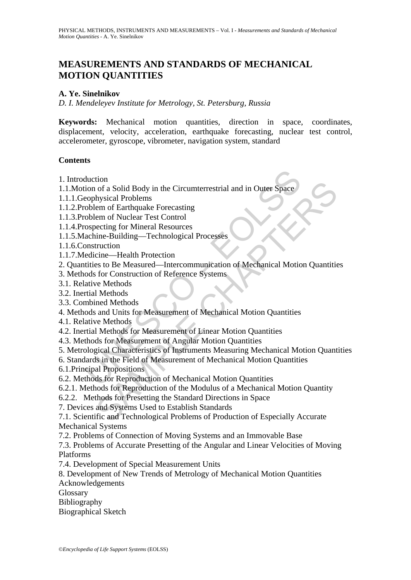# **MEASUREMENTS AND STANDARDS OF MECHANICAL MOTION QUANTITIES**

# **A. Ye. Sinelnikov**

*D. I. Mendeleyev Institute for Metrology, St. Petersburg, Russia* 

**Keywords:** Mechanical motion quantities, direction in space, coordinates, displacement, velocity, acceleration, earthquake forecasting, nuclear test control, accelerometer, gyroscope, vibrometer, navigation system, standard

#### **Contents**

- 1. Introduction
- 1.1.Motion of a Solid Body in the Circumterrestrial and in Outer Space
- 1.1.1.Geophysical Problems
- 1.1.2.Problem of Earthquake Forecasting
- 1.1.3.Problem of Nuclear Test Control
- 1.1.4.Prospecting for Mineral Resources
- 1.1.5.Machine-Building—Technological Processes
- 1.1.6.Construction
- 1.1.7.Medicine—Health Protection
- duction<br>
ion of a Solid Body in the Circumterrestrial and in Outer Space<br>
eophysical Problems<br>
coblem of Earthquake Forecasting<br>
coblem of Nuclear Test Control<br>
ospecting for Mineral Resources<br>
achin-Builing—Technological 2. Quantities to Be Measured—Intercommunication of Mechanical Motion Quantities
- 3. Methods for Construction of Reference Systems
- 3.1. Relative Methods
- 3.2. Inertial Methods
- 3.3. Combined Methods
- 4. Methods and Units for Measurement of Mechanical Motion Quantities
- 4.1. Relative Methods
- 4.2. Inertial Methods for Measurement of Linear Motion Quantities
- 4.3. Methods for Measurement of Angular Motion Quantities
- 5. Metrological Characteristics of Instruments Measuring Mechanical Motion Quantities
- 6. Standards in the Field of Measurement of Mechanical Motion Quantities
- 6.1.Principal Propositions
- 6.2. Methods for Reproduction of Mechanical Motion Quantities
- 6.2.1. Methods for Reproduction of the Modulus of a Mechanical Motion Quantity
- 6.2.2. Methods for Presetting the Standard Directions in Space
- 7. Devices and Systems Used to Establish Standards
- Controllering to the Circumterrestrial and in Outer Space<br>
Sum of a Solid Body in the Circumterrestrial and in Outer Space<br>
hysical Problems<br>
em of Nuclear Test Control<br>
electing correction<br>
electing for Mineral Resources<br> 7.1. Scientific and Technological Problems of Production of Especially Accurate Mechanical Systems
- 7.2. Problems of Connection of Moving Systems and an Immovable Base
- 7.3. Problems of Accurate Presetting of the Angular and Linear Velocities of Moving Platforms
- 7.4. Development of Special Measurement Units
- 8. Development of New Trends of Metrology of Mechanical Motion Quantities
- Acknowledgements
- Glossary
- Bibliography
- Biographical Sketch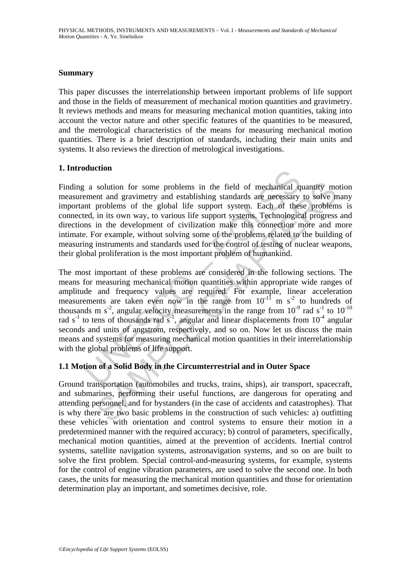#### **Summary**

This paper discusses the interrelationship between important problems of life support and those in the fields of measurement of mechanical motion quantities and gravimetry. It reviews methods and means for measuring mechanical motion quantities, taking into account the vector nature and other specific features of the quantities to be measured, and the metrological characteristics of the means for measuring mechanical motion quantities. There is a brief description of standards, including their main units and systems. It also reviews the direction of metrological investigations.

# **1. Introduction**

Finding a solution for some problems in the field of mechanical quantity motion measurement and gravimetry and establishing standards are necessary to solve many important problems of the global life support system. Each of these problems is connected, in its own way, to various life support systems. Technological progress and directions in the development of civilization make this connection more and more intimate. For example, without solving some of the problems related to the building of measuring instruments and standards used for the control of testing of nuclear weapons, their global proliferation is the most important problem of humankind.

a solution<br>a solution for some problems in the field of mechanical quement and gravimetry and establishing standards are necessary<br>nt problems of the global life support system. Each of these<br>d, in its own way, to various solution for some problems in the field of mechanical quantity mo<br>
ent and gravimetry and establishing standards are necessary to solve n<br>
problems of the global life support system. Each of these problem<br>
in its own way, The most important of these problems are considered in the following sections. The means for measuring mechanical motion quantities within appropriate wide ranges of amplitude and frequency values are required. For example, linear acceleration measurements are taken even now in the range from  $10^{-11}$  m s<sup>-2</sup> to hundreds of thousands m s<sup>-2</sup>, angular velocity measurements in the range from  $10^{-9}$  rad s<sup>-1</sup> to  $10^{-10}$ rad  $s^{-1}$  to tens of thousands rad  $s^{-1}$ , angular and linear displacements from  $10^{-4}$  angular seconds and units of angstrom, respectively, and so on. Now let us discuss the main means and systems for measuring mechanical motion quantities in their interrelationship with the global problems of life support.

# **1.1 Motion of a Solid Body in the Circumterrestrial and in Outer Space**

Ground transportation (automobiles and trucks, trains, ships), air transport, spacecraft, and submarines, performing their useful functions, are dangerous for operating and attending personnel, and for bystanders (in the case of accidents and catastrophes). That is why there are two basic problems in the construction of such vehicles: a) outfitting these vehicles with orientation and control systems to ensure their motion in a predetermined manner with the required accuracy; b) control of parameters, specifically, mechanical motion quantities, aimed at the prevention of accidents. Inertial control systems, satellite navigation systems, astronavigation systems, and so on are built to solve the first problem. Special control-and-measuring systems, for example, systems for the control of engine vibration parameters, are used to solve the second one. In both cases, the units for measuring the mechanical motion quantities and those for orientation determination play an important, and sometimes decisive, role.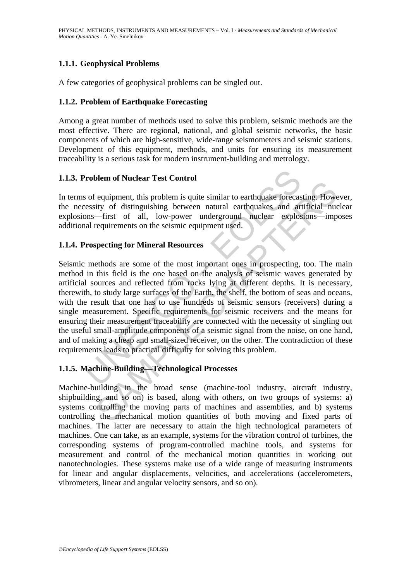# **1.1.1. Geophysical Problems**

A few categories of geophysical problems can be singled out.

### **1.1.2. Problem of Earthquake Forecasting**

Among a great number of methods used to solve this problem, seismic methods are the most effective. There are regional, national, and global seismic networks, the basic components of which are high-sensitive, wide-range seismometers and seismic stations. Development of this equipment, methods, and units for ensuring its measurement traceability is a serious task for modern instrument-building and metrology.

### **1.1.3. Problem of Nuclear Test Control**

In terms of equipment, this problem is quite similar to earthquake forecasting. However, the necessity of distinguishing between natural earthquakes and artificial nuclear explosions—first of all, low-power underground nuclear explosions—imposes additional requirements on the seismic equipment used.

### **1.1.4. Prospecting for Mineral Resources**

**Problem of Nuclear Test Control**<br>
So for equipment, this problem is quite similar to earthquake forecasesity of distinguishing between natural earthquakes and arms—first of all, low-power underground nuclear explosional r is equipment, this problem is quite similar to earthquake forecasting. However equipment, this problem is quite similar to earthquake forecasting. How  $-\text{first}$  of dil, low-power underground nuclear explosions—imp requiremen Seismic methods are some of the most important ones in prospecting, too. The main method in this field is the one based on the analysis of seismic waves generated by artificial sources and reflected from rocks lying at different depths. It is necessary, therewith, to study large surfaces of the Earth, the shelf, the bottom of seas and oceans, with the result that one has to use hundreds of seismic sensors (receivers) during a single measurement. Specific requirements for seismic receivers and the means for ensuring their measurement traceability are connected with the necessity of singling out the useful small-amplitude components of a seismic signal from the noise, on one hand, and of making a cheap and small-sized receiver, on the other. The contradiction of these requirements leads to practical difficulty for solving this problem.

# **1.1.5. Machine-Building—Technological Processes**

Machine-building in the broad sense (machine-tool industry, aircraft industry, shipbuilding, and so on) is based, along with others, on two groups of systems: a) systems controlling the moving parts of machines and assemblies, and b) systems controlling the mechanical motion quantities of both moving and fixed parts of machines. The latter are necessary to attain the high technological parameters of machines. One can take, as an example, systems for the vibration control of turbines, the corresponding systems of program-controlled machine tools, and systems for measurement and control of the mechanical motion quantities in working out nanotechnologies. These systems make use of a wide range of measuring instruments for linear and angular displacements, velocities, and accelerations (accelerometers, vibrometers, linear and angular velocity sensors, and so on).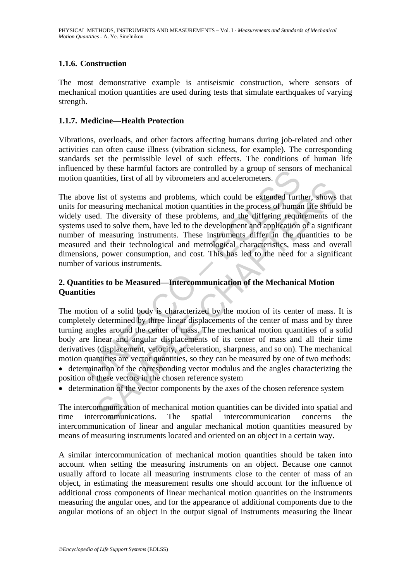# **1.1.6. Construction**

The most demonstrative example is antiseismic construction, where sensors of mechanical motion quantities are used during tests that simulate earthquakes of varying strength.

#### **1.1.7. Medicine—Health Protection**

Vibrations, overloads, and other factors affecting humans during job-related and other activities can often cause illness (vibration sickness, for example). The corresponding standards set the permissible level of such effects. The conditions of human life influenced by these harmful factors are controlled by a group of sensors of mechanical motion quantities, first of all by vibrometers and accelerometers.

Example 18 and the controlled by the measured by these exercises quantities, first of all by vibrometers and accelerometers.<br>
We list of systems and problems, which could be extended further measuring mechanical motion qua That is of systems and problems, which could be extended further, shows<br>last of systems and problems, which could be extended further, shows<br>d. The diversity of these problems, and the differing requirements of<br>ed to solve The above list of systems and problems, which could be extended further, shows that units for measuring mechanical motion quantities in the process of human life should be widely used. The diversity of these problems, and the differing requirements of the systems used to solve them, have led to the development and application of a significant number of measuring instruments. These instruments differ in the quantities to be measured and their technological and metrological characteristics, mass and overall dimensions, power consumption, and cost. This has led to the need for a significant number of various instruments.

# **2. Quantities to be Measured—Intercommunication of the Mechanical Motion Quantities**

The motion of a solid body is characterized by the motion of its center of mass. It is completely determined by three linear displacements of the center of mass and by three turning angles around the center of mass. The mechanical motion quantities of a solid body are linear and angular displacements of its center of mass and all their time derivatives (displacement, velocity, acceleration, sharpness, and so on). The mechanical motion quantities are vector quantities, so they can be measured by one of two methods:

- determination of the corresponding vector modulus and the angles characterizing the position of these vectors in the chosen reference system
- determination of the vector components by the axes of the chosen reference system

The intercommunication of mechanical motion quantities can be divided into spatial and time intercommunications. The spatial intercommunication concerns the intercommunication of linear and angular mechanical motion quantities measured by means of measuring instruments located and oriented on an object in a certain way.

A similar intercommunication of mechanical motion quantities should be taken into account when setting the measuring instruments on an object. Because one cannot usually afford to locate all measuring instruments close to the center of mass of an object, in estimating the measurement results one should account for the influence of additional cross components of linear mechanical motion quantities on the instruments measuring the angular ones, and for the appearance of additional components due to the angular motions of an object in the output signal of instruments measuring the linear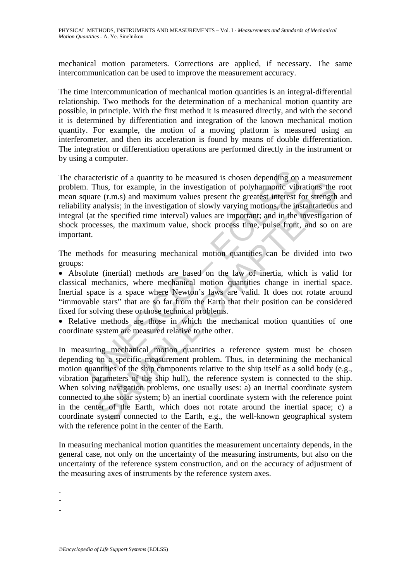mechanical motion parameters. Corrections are applied, if necessary. The same intercommunication can be used to improve the measurement accuracy.

The time intercommunication of mechanical motion quantities is an integral-differential relationship. Two methods for the determination of a mechanical motion quantity are possible, in principle. With the first method it is measured directly, and with the second it is determined by differentiation and integration of the known mechanical motion quantity. For example, the motion of a moving platform is measured using an interferometer, and then its acceleration is found by means of double differentiation. The integration or differentiation operations are performed directly in the instrument or by using a computer.

acteristic of a quantity to be measured is chosen depending on<br>
1. Thus, for example, in the investigation of polyharmonic vibr<br>
quare (r.m.s) and maximum values present the greatest interest f<br>
ty analysis; in the investi The characteristic of a quantity to be measured is chosen depending on a measurement problem. Thus, for example, in the investigation of polyharmonic vibrations the root mean square (r.m.s) and maximum values present the greatest interest for strength and reliability analysis; in the investigation of slowly varying motions, the instantaneous and integral (at the specified time interval) values are important; and in the investigation of shock processes, the maximum value, shock process time, pulse front, and so on are important.

The methods for measuring mechanical motion quantities can be divided into two groups:

• Absolute (inertial) methods are based on the law of inertia, which is valid for classical mechanics, where mechanical motion quantities change in inertial space. Inertial space is a space where Newton's laws are valid. It does not rotate around "immovable stars" that are so far from the Earth that their position can be considered fixed for solving these or those technical problems.

• Relative methods are those in which the mechanical motion quantities of one coordinate system are measured relative to the other.

Thus, for example, in the investigation of polyharmonic vibrations the rest, thus, for example, in the investigation of polyharmonic vibrations the rest (r.m.s) and maximum values present the greatest interest for strengt In measuring mechanical motion quantities a reference system must be chosen depending on a specific measurement problem. Thus, in determining the mechanical motion quantities of the ship components relative to the ship itself as a solid body (e.g., vibration parameters of the ship hull), the reference system is connected to the ship. When solving navigation problems, one usually uses: a) an inertial coordinate system connected to the solar system; b) an inertial coordinate system with the reference point in the center of the Earth, which does not rotate around the inertial space; c) a coordinate system connected to the Earth, e.g., the well-known geographical system with the reference point in the center of the Earth.

In measuring mechanical motion quantities the measurement uncertainty depends, in the general case, not only on the uncertainty of the measuring instruments, but also on the uncertainty of the reference system construction, and on the accuracy of adjustment of the measuring axes of instruments by the reference system axes.

-

-

-